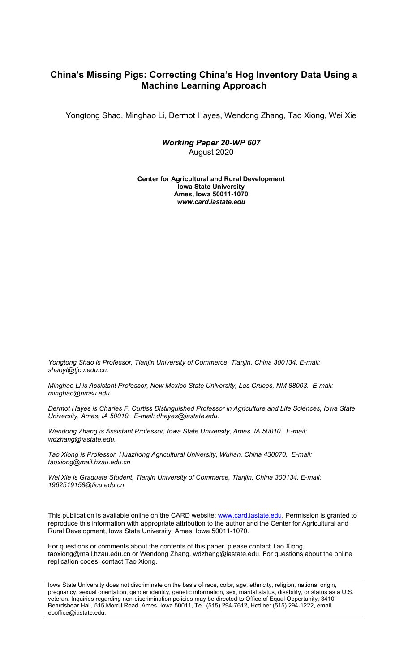# **China's Missing Pigs: Correcting China's Hog Inventory Data Using a Machine Learning Approach**

Yongtong Shao, Minghao Li, Dermot Hayes, Wendong Zhang, Tao Xiong, Wei Xie

*Working Paper 20-WP 607* August 2020

**Center for Agricultural and Rural Development Iowa State University Ames, Iowa 50011-1070** *www.card.iastate.edu*

*Yongtong Shao is Professor, Tianjin University of Commerce, Tianjin, China 300134. E-mail: shaoyt@tjcu.edu.cn.*

*Minghao Li is Assistant Professor, New Mexico State University, Las Cruces, NM 88003. E-mail: minghao@nmsu.edu.*

*Dermot Hayes is Charles F. Curtiss Distinguished Professor in Agriculture and Life Sciences, Iowa State University, Ames, IA 50010. E-mail: dhayes@iastate.edu.*

*Wendong Zhang is Assistant Professor, Iowa State University, Ames, IA 50010. E-mail: wdzhang@iastate.edu.*

*Tao Xiong is Professor, Huazhong Agricultural University, Wuhan, China 430070. E-mail: taoxiong@mail.hzau.edu.cn*

*Wei Xie is Graduate Student, Tianjin University of Commerce, Tianjin, China 300134. E-mail: 1962519158@tjcu.edu.cn.*

This publication is available online on the CARD website: www.card.iastate.edu. Permission is granted to reproduce this information with appropriate attribution to the author and the Center for Agricultural and Rural Development, Iowa State University, Ames, Iowa 50011-1070.

For questions or comments about the contents of this paper, please contact Tao Xiong, taoxiong@mail.hzau.edu.cn or Wendong Zhang, wdzhang@iastate.edu. For questions about the online replication codes, contact Tao Xiong.

Iowa State University does not discriminate on the basis of race, color, age, ethnicity, religion, national origin, pregnancy, sexual orientation, gender identity, genetic information, sex, marital status, disability, or status as a U.S. veteran. Inquiries regarding non-discrimination policies may be directed to Office of Equal Opportunity, 3410 Beardshear Hall, 515 Morrill Road, Ames, Iowa 50011, Tel. (515) 294-7612, Hotline: (515) 294-1222, email eooffice@iastate.edu.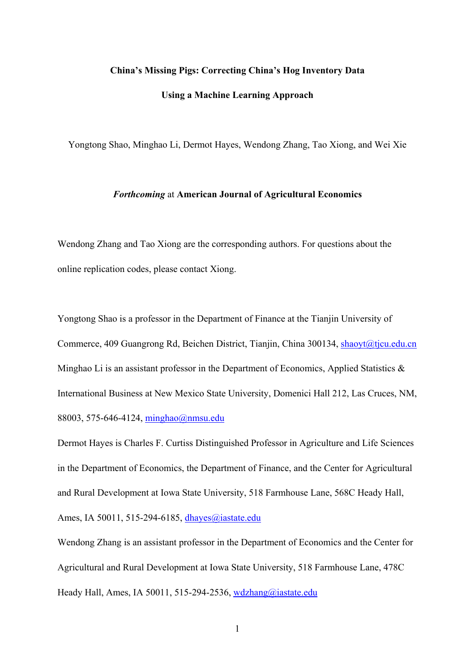## **China's Missing Pigs: Correcting China's Hog Inventory Data**

## **Using a Machine Learning Approach**

Yongtong Shao, Minghao Li, Dermot Hayes, Wendong Zhang, Tao Xiong, and Wei Xie

#### *Forthcoming* at **American Journal of Agricultural Economics**

Wendong Zhang and Tao Xiong are the corresponding authors. For questions about the online replication codes, please contact Xiong.

Yongtong Shao is a professor in the Department of Finance at the Tianjin University of Commerce, 409 Guangrong Rd, Beichen District, Tianjin, China 300134, [shaoyt@tjcu.edu.cn](mailto:shaoyt@tjcu.edu.cn) Minghao Li is an assistant professor in the Department of Economics, Applied Statistics & International Business at New Mexico State University, Domenici Hall 212, Las Cruces, NM, 88003, 575-646-4124, [minghao@nmsu.edu](mailto:minghao@nmsu.edu)

Dermot Hayes is Charles F. Curtiss Distinguished Professor in Agriculture and Life Sciences in the Department of Economics, the Department of Finance, and the Center for Agricultural and Rural Development at Iowa State University, 518 Farmhouse Lane, 568C Heady Hall, Ames, IA 50011, 515-294-6185, [dhayes@iastate.edu](mailto:dhayes@iastate.edu)

Wendong Zhang is an assistant professor in the Department of Economics and the Center for Agricultural and Rural Development at Iowa State University, 518 Farmhouse Lane, 478C Heady Hall, Ames, IA 50011, 515-294-2536, wdzhang@iastate.edu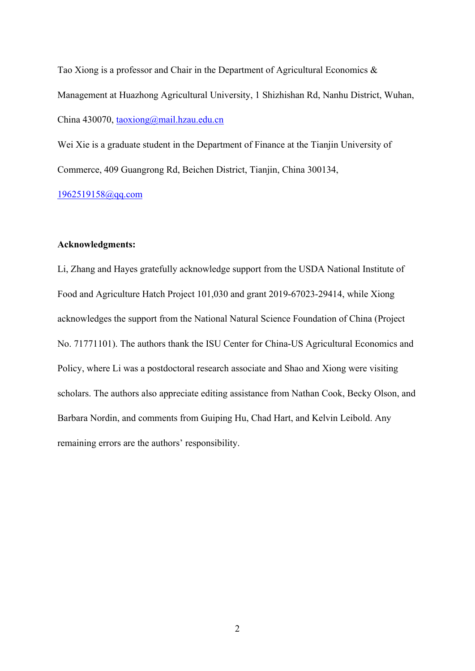Tao Xiong is a professor and Chair in the Department of Agricultural Economics & Management at Huazhong Agricultural University, 1 Shizhishan Rd, Nanhu District, Wuhan, China 430070, [taoxiong@mail.hzau.edu.cn](mailto:taoxiong@mail.hzau.edu.cn)

Wei Xie is a graduate student in the Department of Finance at the Tianjin University of Commerce, 409 Guangrong Rd, Beichen District, Tianjin, China 300134,

[1962519158@qq.com](mailto:1962519158@qq.com)

## **Acknowledgments:**

Li, Zhang and Hayes gratefully acknowledge support from the USDA National Institute of Food and Agriculture Hatch Project 101,030 and grant 2019-67023-29414, while Xiong acknowledges the support from the National Natural Science Foundation of China (Project No. 71771101). The authors thank the ISU Center for China-US Agricultural Economics and Policy, where Li was a postdoctoral research associate and Shao and Xiong were visiting scholars. The authors also appreciate editing assistance from Nathan Cook, Becky Olson, and Barbara Nordin, and comments from Guiping Hu, Chad Hart, and Kelvin Leibold. Any remaining errors are the authors' responsibility.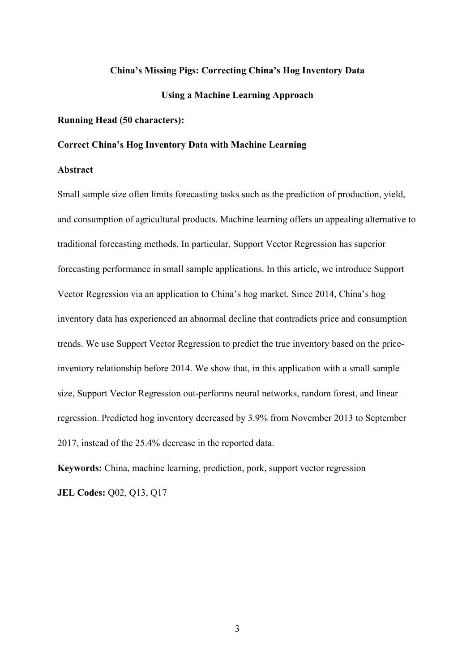## **China's Missing Pigs: Correcting China's Hog Inventory Data**

## **Using a Machine Learning Approach**

## **Running Head (50 characters):**

## **Correct China's Hog Inventory Data with Machine Learning**

#### **Abstract**

Small sample size often limits forecasting tasks such as the prediction of production, yield, and consumption of agricultural products. Machine learning offers an appealing alternative to traditional forecasting methods. In particular, Support Vector Regression has superior forecasting performance in small sample applications. In this article, we introduce Support Vector Regression via an application to China's hog market. Since 2014, China's hog inventory data has experienced an abnormal decline that contradicts price and consumption trends. We use Support Vector Regression to predict the true inventory based on the priceinventory relationship before 2014. We show that, in this application with a small sample size, Support Vector Regression out-performs neural networks, random forest, and linear regression. Predicted hog inventory decreased by 3.9% from November 2013 to September 2017, instead of the 25.4% decrease in the reported data.

**Keywords:** China, machine learning, prediction, pork, support vector regression **JEL Codes:** Q02, Q13, Q17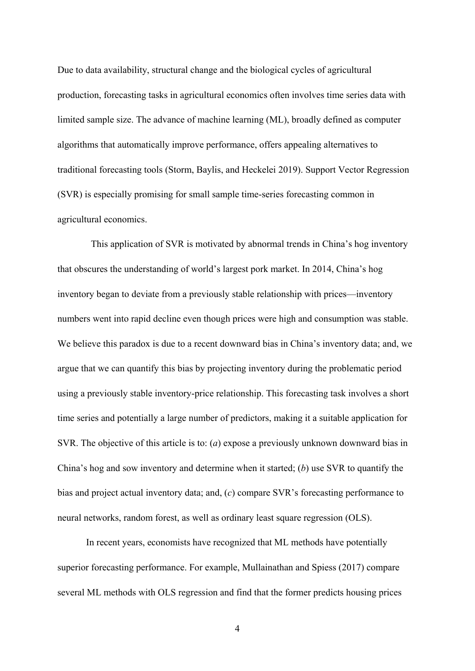Due to data availability, structural change and the biological cycles of agricultural production, forecasting tasks in agricultural economics often involves time series data with limited sample size. The advance of machine learning (ML), broadly defined as computer algorithms that automatically improve performance, offers appealing alternatives to traditional forecasting tools (Storm, Baylis, and Heckelei 2019). Support Vector Regression (SVR) is especially promising for small sample time-series forecasting common in agricultural economics.

 This application of SVR is motivated by abnormal trends in China's hog inventory that obscures the understanding of world's largest pork market. In 2014, China's hog inventory began to deviate from a previously stable relationship with prices—inventory numbers went into rapid decline even though prices were high and consumption was stable. We believe this paradox is due to a recent downward bias in China's inventory data; and, we argue that we can quantify this bias by projecting inventory during the problematic period using a previously stable inventory-price relationship. This forecasting task involves a short time series and potentially a large number of predictors, making it a suitable application for SVR. The objective of this article is to: (*a*) expose a previously unknown downward bias in China's hog and sow inventory and determine when it started; (*b*) use SVR to quantify the bias and project actual inventory data; and, (*c*) compare SVR's forecasting performance to neural networks, random forest, as well as ordinary least square regression (OLS).

 In recent years, economists have recognized that ML methods have potentially superior forecasting performance. For example, Mullainathan and Spiess (2017) compare several ML methods with OLS regression and find that the former predicts housing prices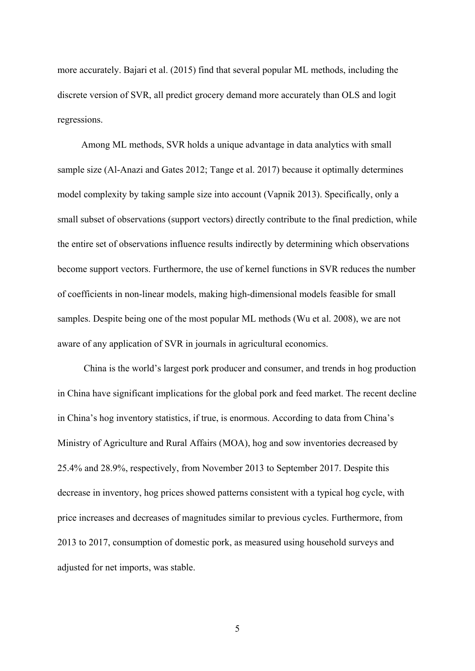more accurately. Bajari et al. (2015) find that several popular ML methods, including the discrete version of SVR, all predict grocery demand more accurately than OLS and logit regressions.

 Among ML methods, SVR holds a unique advantage in data analytics with small sample size (Al-Anazi and Gates 2012; Tange et al. 2017) because it optimally determines model complexity by taking sample size into account (Vapnik 2013). Specifically, only a small subset of observations (support vectors) directly contribute to the final prediction, while the entire set of observations influence results indirectly by determining which observations become support vectors. Furthermore, the use of kernel functions in SVR reduces the number of coefficients in non-linear models, making high-dimensional models feasible for small samples. Despite being one of the most popular ML methods (Wu et al. 2008), we are not aware of any application of SVR in journals in agricultural economics.

 China is the world's largest pork producer and consumer, and trends in hog production in China have significant implications for the global pork and feed market. The recent decline in China's hog inventory statistics, if true, is enormous. According to data from China's Ministry of Agriculture and Rural Affairs (MOA), hog and sow inventories decreased by 25.4% and 28.9%, respectively, from November 2013 to September 2017. Despite this decrease in inventory, hog prices showed patterns consistent with a typical hog cycle, with price increases and decreases of magnitudes similar to previous cycles. Furthermore, from 2013 to 2017, consumption of domestic pork, as measured using household surveys and adjusted for net imports, was stable.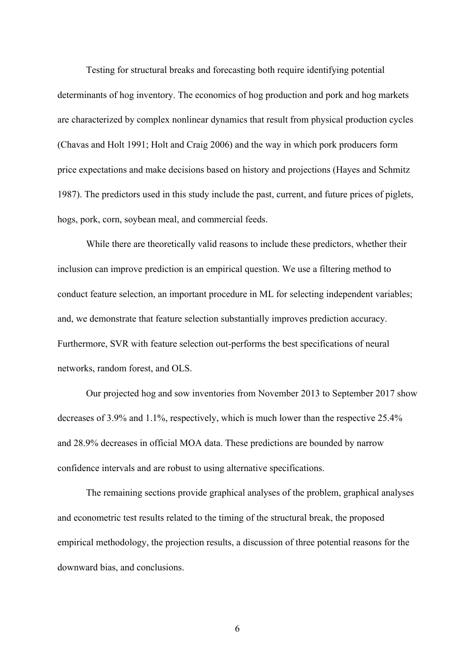Testing for structural breaks and forecasting both require identifying potential determinants of hog inventory. The economics of hog production and pork and hog markets are characterized by complex nonlinear dynamics that result from physical production cycles (Chavas and Holt 1991; Holt and Craig 2006) and the way in which pork producers form price expectations and make decisions based on history and projections (Hayes and Schmitz 1987). The predictors used in this study include the past, current, and future prices of piglets, hogs, pork, corn, soybean meal, and commercial feeds.

While there are theoretically valid reasons to include these predictors, whether their inclusion can improve prediction is an empirical question. We use a filtering method to conduct feature selection, an important procedure in ML for selecting independent variables; and, we demonstrate that feature selection substantially improves prediction accuracy. Furthermore, SVR with feature selection out-performs the best specifications of neural networks, random forest, and OLS.

Our projected hog and sow inventories from November 2013 to September 2017 show decreases of 3.9% and 1.1%, respectively, which is much lower than the respective 25.4% and 28.9% decreases in official MOA data. These predictions are bounded by narrow confidence intervals and are robust to using alternative specifications.

 The remaining sections provide graphical analyses of the problem, graphical analyses and econometric test results related to the timing of the structural break, the proposed empirical methodology, the projection results, a discussion of three potential reasons for the downward bias, and conclusions.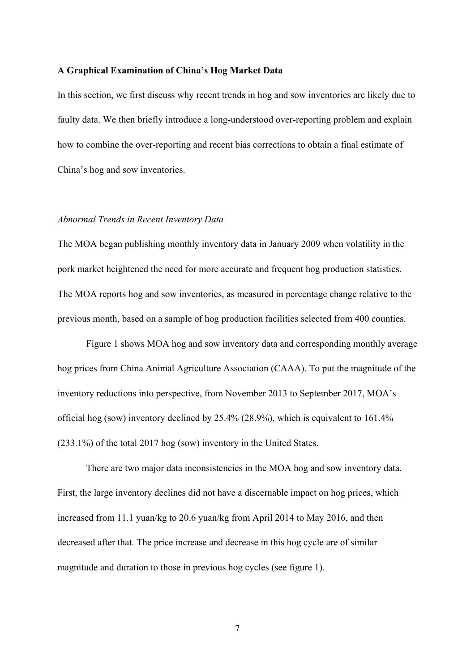#### **A Graphical Examination of China's Hog Market Data**

In this section, we first discuss why recent trends in hog and sow inventories are likely due to faulty data. We then briefly introduce a long-understood over-reporting problem and explain how to combine the over-reporting and recent bias corrections to obtain a final estimate of China's hog and sow inventories.

#### *Abnormal Trends in Recent Inventory Data*

The MOA began publishing monthly inventory data in January 2009 when volatility in the pork market heightened the need for more accurate and frequent hog production statistics. The MOA reports hog and sow inventories, as measured in percentage change relative to the previous month, based on a sample of hog production facilities selected from 400 counties.

 Figure 1 shows MOA hog and sow inventory data and corresponding monthly average hog prices from China Animal Agriculture Association (CAAA). To put the magnitude of the inventory reductions into perspective, from November 2013 to September 2017, MOA's official hog (sow) inventory declined by 25.4% (28.9%), which is equivalent to 161.4% (233.1%) of the total 2017 hog (sow) inventory in the United States.

 There are two major data inconsistencies in the MOA hog and sow inventory data. First, the large inventory declines did not have a discernable impact on hog prices, which increased from 11.1 yuan/kg to 20.6 yuan/kg from April 2014 to May 2016, and then decreased after that. The price increase and decrease in this hog cycle are of similar magnitude and duration to those in previous hog cycles (see figure 1).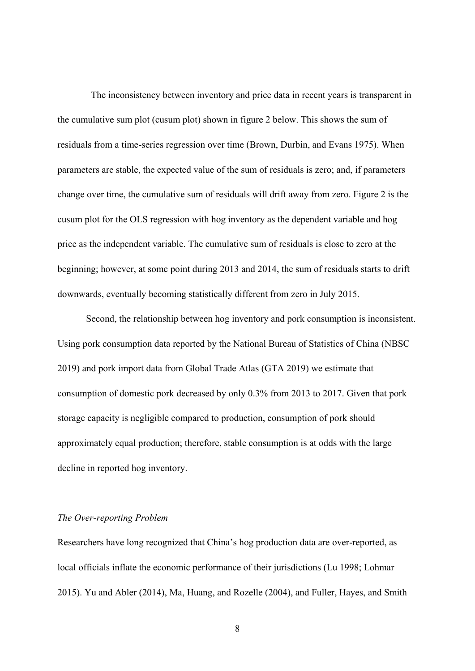The inconsistency between inventory and price data in recent years is transparent in the cumulative sum plot (cusum plot) shown in figure 2 below. This shows the sum of residuals from a time-series regression over time (Brown, Durbin, and Evans 1975). When parameters are stable, the expected value of the sum of residuals is zero; and, if parameters change over time, the cumulative sum of residuals will drift away from zero. Figure 2 is the cusum plot for the OLS regression with hog inventory as the dependent variable and hog price as the independent variable. The cumulative sum of residuals is close to zero at the beginning; however, at some point during 2013 and 2014, the sum of residuals starts to drift downwards, eventually becoming statistically different from zero in July 2015.

 Second, the relationship between hog inventory and pork consumption is inconsistent. Using pork consumption data reported by the National Bureau of Statistics of China (NBSC 2019) and pork import data from Global Trade Atlas (GTA 2019) we estimate that consumption of domestic pork decreased by only 0.3% from 2013 to 2017. Given that pork storage capacity is negligible compared to production, consumption of pork should approximately equal production; therefore, stable consumption is at odds with the large decline in reported hog inventory.

### *The Over-reporting Problem*

Researchers have long recognized that China's hog production data are over-reported, as local officials inflate the economic performance of their jurisdictions (Lu 1998; Lohmar 2015). Yu and Abler (2014), Ma, Huang, and Rozelle (2004), and Fuller, Hayes, and Smith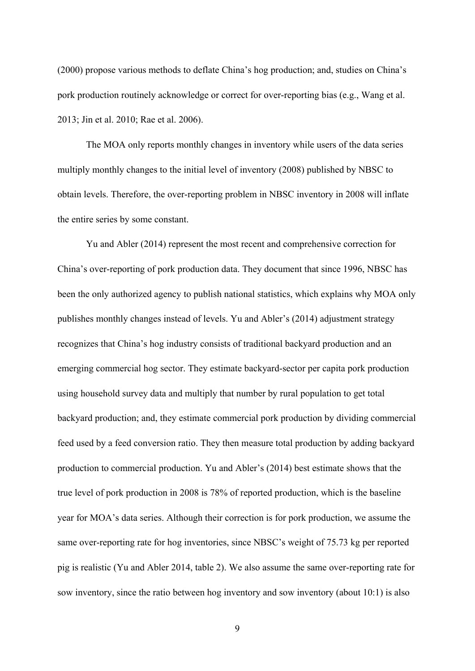(2000) propose various methods to deflate China's hog production; and, studies on China's pork production routinely acknowledge or correct for over-reporting bias (e.g., Wang et al. 2013; Jin et al. 2010; Rae et al. 2006).

 The MOA only reports monthly changes in inventory while users of the data series multiply monthly changes to the initial level of inventory (2008) published by NBSC to obtain levels. Therefore, the over-reporting problem in NBSC inventory in 2008 will inflate the entire series by some constant.

 Yu and Abler (2014) represent the most recent and comprehensive correction for China's over-reporting of pork production data. They document that since 1996, NBSC has been the only authorized agency to publish national statistics, which explains why MOA only publishes monthly changes instead of levels. Yu and Abler's (2014) adjustment strategy recognizes that China's hog industry consists of traditional backyard production and an emerging commercial hog sector. They estimate backyard-sector per capita pork production using household survey data and multiply that number by rural population to get total backyard production; and, they estimate commercial pork production by dividing commercial feed used by a feed conversion ratio. They then measure total production by adding backyard production to commercial production. Yu and Abler's (2014) best estimate shows that the true level of pork production in 2008 is 78% of reported production, which is the baseline year for MOA's data series. Although their correction is for pork production, we assume the same over-reporting rate for hog inventories, since NBSC's weight of 75.73 kg per reported pig is realistic (Yu and Abler 2014, table 2). We also assume the same over-reporting rate for sow inventory, since the ratio between hog inventory and sow inventory (about 10:1) is also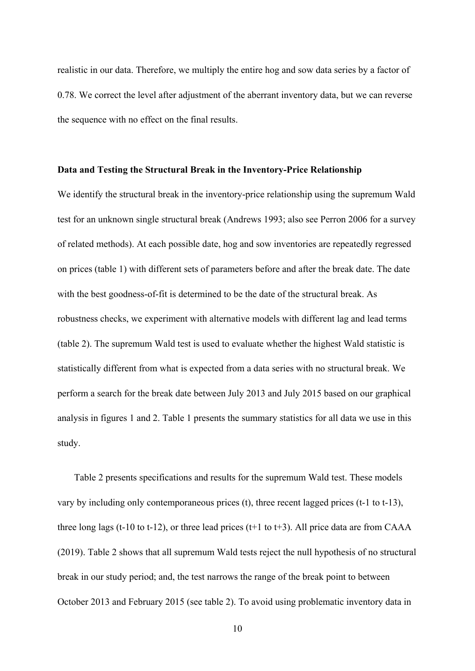realistic in our data. Therefore, we multiply the entire hog and sow data series by a factor of 0.78. We correct the level after adjustment of the aberrant inventory data, but we can reverse the sequence with no effect on the final results.

#### **Data and Testing the Structural Break in the Inventory-Price Relationship**

We identify the structural break in the inventory-price relationship using the supremum Wald test for an unknown single structural break (Andrews 1993; also see Perron 2006 for a survey of related methods). At each possible date, hog and sow inventories are repeatedly regressed on prices (table 1) with different sets of parameters before and after the break date. The date with the best goodness-of-fit is determined to be the date of the structural break. As robustness checks, we experiment with alternative models with different lag and lead terms (table 2). The supremum Wald test is used to evaluate whether the highest Wald statistic is statistically different from what is expected from a data series with no structural break. We perform a search for the break date between July 2013 and July 2015 based on our graphical analysis in figures 1 and 2. Table 1 presents the summary statistics for all data we use in this study.

Table 2 presents specifications and results for the supremum Wald test. These models vary by including only contemporaneous prices (t), three recent lagged prices (t-1 to t-13), three long lags (t-10 to t-12), or three lead prices (t+1 to t+3). All price data are from CAAA (2019). Table 2 shows that all supremum Wald tests reject the null hypothesis of no structural break in our study period; and, the test narrows the range of the break point to between October 2013 and February 2015 (see table 2). To avoid using problematic inventory data in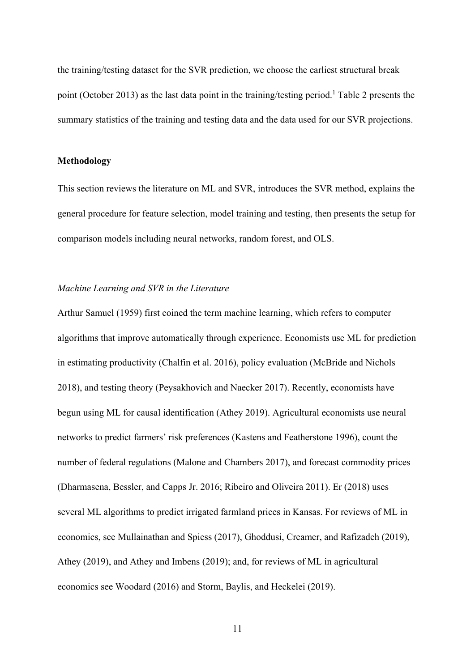the training/testing dataset for the SVR prediction, we choose the earliest structural break point (October 2013) as the last data point in the training/testing period.<sup>1</sup> Table 2 presents the summary statistics of the training and testing data and the data used for our SVR projections.

### **Methodology**

This section reviews the literature on ML and SVR, introduces the SVR method, explains the general procedure for feature selection, model training and testing, then presents the setup for comparison models including neural networks, random forest, and OLS.

# *Machine Learning and SVR in the Literature*

Arthur Samuel (1959) first coined the term machine learning, which refers to computer algorithms that improve automatically through experience. Economists use ML for prediction in estimating productivity (Chalfin et al. 2016), policy evaluation (McBride and Nichols 2018), and testing theory (Peysakhovich and Naecker 2017). Recently, economists have begun using ML for causal identification (Athey 2019). Agricultural economists use neural networks to predict farmers' risk preferences (Kastens and Featherstone 1996), count the number of federal regulations (Malone and Chambers 2017), and forecast commodity prices (Dharmasena, Bessler, and Capps Jr. 2016; Ribeiro and Oliveira 2011). Er (2018) uses several ML algorithms to predict irrigated farmland prices in Kansas. For reviews of ML in economics, see Mullainathan and Spiess (2017), Ghoddusi, Creamer, and Rafizadeh (2019), Athey (2019), and Athey and Imbens (2019); and, for reviews of ML in agricultural economics see Woodard (2016) and Storm, Baylis, and Heckelei (2019).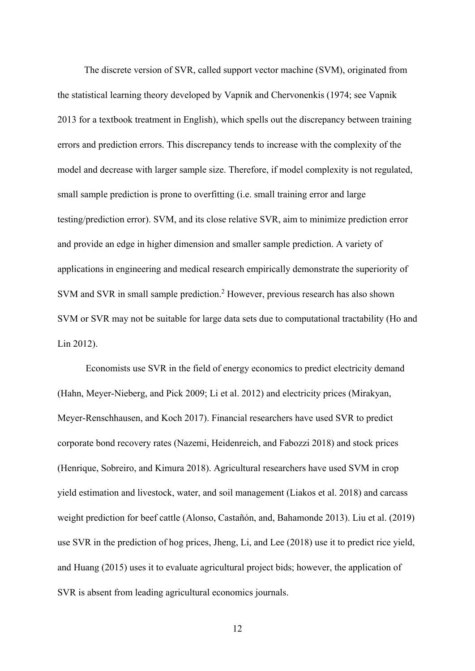The discrete version of SVR, called support vector machine (SVM), originated from the statistical learning theory developed by Vapnik and Chervonenkis (1974; see Vapnik 2013 for a textbook treatment in English), which spells out the discrepancy between training errors and prediction errors. This discrepancy tends to increase with the complexity of the model and decrease with larger sample size. Therefore, if model complexity is not regulated, small sample prediction is prone to overfitting (i.e. small training error and large testing/prediction error). SVM, and its close relative SVR, aim to minimize prediction error and provide an edge in higher dimension and smaller sample prediction. A variety of applications in engineering and medical research empirically demonstrate the superiority of SVM and SVR in small sample prediction.<sup>2</sup> However, previous research has also shown SVM or SVR may not be suitable for large data sets due to computational tractability (Ho and Lin 2012).

 Economists use SVR in the field of energy economics to predict electricity demand (Hahn, Meyer-Nieberg, and Pick 2009; Li et al. 2012) and electricity prices (Mirakyan, Meyer-Renschhausen, and Koch 2017). Financial researchers have used SVR to predict corporate bond recovery rates (Nazemi, Heidenreich, and Fabozzi 2018) and stock prices (Henrique, Sobreiro, and Kimura 2018). Agricultural researchers have used SVM in crop yield estimation and livestock, water, and soil management (Liakos et al. 2018) and carcass weight prediction for beef cattle (Alonso, Castañón, and, Bahamonde 2013). Liu et al. (2019) use SVR in the prediction of hog prices, Jheng, Li, and Lee (2018) use it to predict rice yield, and Huang (2015) uses it to evaluate agricultural project bids; however, the application of SVR is absent from leading agricultural economics journals.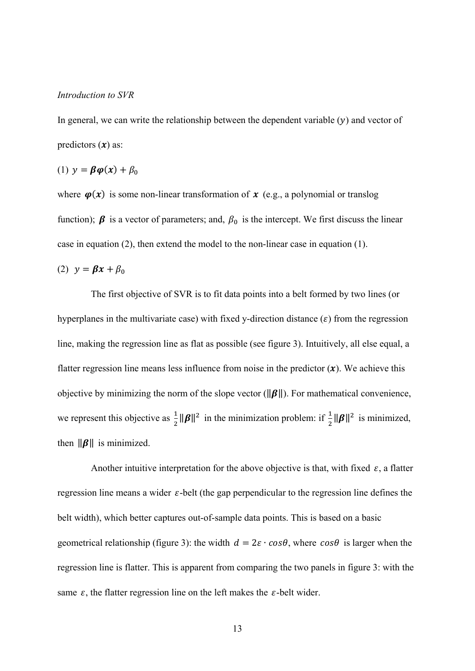#### *Introduction to SVR*

In general, we can write the relationship between the dependent variable  $(y)$  and vector of predictors  $(x)$  as:

$$
(1) y = \beta \varphi(x) + \beta_0
$$

where  $\varphi(x)$  is some non-linear transformation of x (e.g., a polynomial or translog function);  $\beta$  is a vector of parameters; and,  $\beta_0$  is the intercept. We first discuss the linear case in equation (2), then extend the model to the non-linear case in equation (1).

$$
(2) \ \ y = \beta x + \beta_0
$$

The first objective of SVR is to fit data points into a belt formed by two lines (or hyperplanes in the multivariate case) with fixed y-direction distance  $(\varepsilon)$  from the regression line, making the regression line as flat as possible (see figure 3). Intuitively, all else equal, a flatter regression line means less influence from noise in the predictor  $(x)$ . We achieve this objective by minimizing the norm of the slope vector ( $\|\boldsymbol{\beta}\|$ ). For mathematical convenience, we represent this objective as  $\frac{1}{2} ||\beta||^2$  in the minimization problem: if  $\frac{1}{2} ||\beta||^2$  is minimized, then  $\|\boldsymbol{\beta}\|$  is minimized.

Another intuitive interpretation for the above objective is that, with fixed  $\varepsilon$ , a flatter regression line means a wider  $\varepsilon$ -belt (the gap perpendicular to the regression line defines the belt width), which better captures out-of-sample data points. This is based on a basic geometrical relationship (figure 3): the width  $d = 2\varepsilon \cdot cos\theta$ , where  $cos\theta$  is larger when the regression line is flatter. This is apparent from comparing the two panels in figure 3: with the same  $\varepsilon$ , the flatter regression line on the left makes the  $\varepsilon$ -belt wider.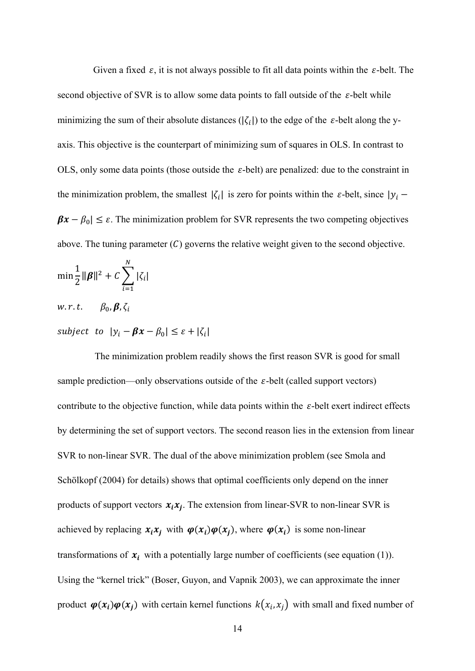Given a fixed  $\varepsilon$ , it is not always possible to fit all data points within the  $\varepsilon$ -belt. The second objective of SVR is to allow some data points to fall outside of the  $\varepsilon$ -belt while minimizing the sum of their absolute distances  $(|\zeta_i|)$  to the edge of the  $\varepsilon$ -belt along the yaxis. This objective is the counterpart of minimizing sum of squares in OLS. In contrast to OLS, only some data points (those outside the  $\varepsilon$ -belt) are penalized: due to the constraint in the minimization problem, the smallest  $|\zeta_i|$  is zero for points within the  $\varepsilon$ -belt, since  $|y_i \beta x - \beta_0$  ≤  $\varepsilon$ . The minimization problem for SVR represents the two competing objectives above. The tuning parameter  $(C)$  governs the relative weight given to the second objective.

$$
\min \frac{1}{2} \|\boldsymbol{\beta}\|^2 + C \sum_{i=1}^N |\zeta_i|
$$
  
*w.r.t.*  $\beta_0, \boldsymbol{\beta}, \zeta_i$   
subject to  $|y_i - \boldsymbol{\beta}x - \beta_0| \le \varepsilon + |\zeta_i|$ 

 The minimization problem readily shows the first reason SVR is good for small sample prediction—only observations outside of the  $\varepsilon$ -belt (called support vectors) contribute to the objective function, while data points within the  $\varepsilon$ -belt exert indirect effects by determining the set of support vectors. The second reason lies in the extension from linear SVR to non-linear SVR. The dual of the above minimization problem (see Smola and Schölkopf (2004) for details) shows that optimal coefficients only depend on the inner products of support vectors  $x_i x_j$ . The extension from linear-SVR to non-linear SVR is achieved by replacing  $x_i x_j$  with  $\varphi(x_i) \varphi(x_j)$ , where  $\varphi(x_i)$  is some non-linear transformations of  $x_i$  with a potentially large number of coefficients (see equation (1)). Using the "kernel trick" (Boser, Guyon, and Vapnik 2003), we can approximate the inner product  $\varphi(x_i) \varphi(x_j)$  with certain kernel functions  $k(x_i, x_j)$  with small and fixed number of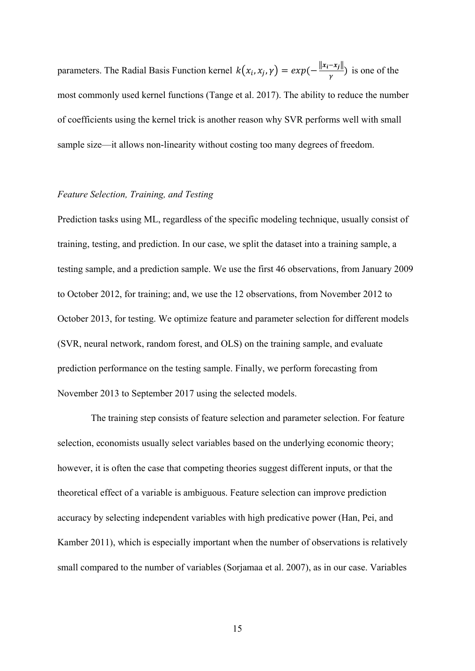parameters. The Radial Basis Function kernel  $k(x_i, x_j, \gamma) = exp(-\frac{||x_i - x_j||}{\gamma})$  is one of the most commonly used kernel functions (Tange et al. 2017). The ability to reduce the number of coefficients using the kernel trick is another reason why SVR performs well with small sample size—it allows non-linearity without costing too many degrees of freedom.

#### *Feature Selection, Training, and Testing*

Prediction tasks using ML, regardless of the specific modeling technique, usually consist of training, testing, and prediction. In our case, we split the dataset into a training sample, a testing sample, and a prediction sample. We use the first 46 observations, from January 2009 to October 2012, for training; and, we use the 12 observations, from November 2012 to October 2013, for testing. We optimize feature and parameter selection for different models (SVR, neural network, random forest, and OLS) on the training sample, and evaluate prediction performance on the testing sample. Finally, we perform forecasting from November 2013 to September 2017 using the selected models.

The training step consists of feature selection and parameter selection. For feature selection, economists usually select variables based on the underlying economic theory; however, it is often the case that competing theories suggest different inputs, or that the theoretical effect of a variable is ambiguous. Feature selection can improve prediction accuracy by selecting independent variables with high predicative power (Han, Pei, and Kamber 2011), which is especially important when the number of observations is relatively small compared to the number of variables (Sorjamaa et al. 2007), as in our case. Variables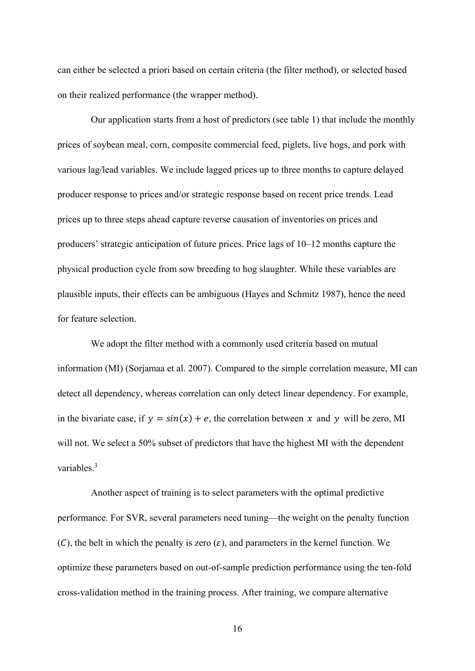can either be selected a priori based on certain criteria (the filter method), or selected based on their realized performance (the wrapper method).

Our application starts from a host of predictors (see table 1) that include the monthly prices of soybean meal, corn, composite commercial feed, piglets, live hogs, and pork with various lag/lead variables. We include lagged prices up to three months to capture delayed producer response to prices and/or strategic response based on recent price trends. Lead prices up to three steps ahead capture reverse causation of inventories on prices and producers' strategic anticipation of future prices. Price lags of 10–12 months capture the physical production cycle from sow breeding to hog slaughter. While these variables are plausible inputs, their effects can be ambiguous (Hayes and Schmitz 1987), hence the need for feature selection.

We adopt the filter method with a commonly used criteria based on mutual information (MI) (Sorjamaa et al. 2007). Compared to the simple correlation measure, MI can detect all dependency, whereas correlation can only detect linear dependency. For example, in the bivariate case, if  $y = sin(x) + e$ , the correlation between x and y will be zero, MI will not. We select a 50% subset of predictors that have the highest MI with the dependent variables<sup>3</sup>

Another aspect of training is to select parameters with the optimal predictive performance. For SVR, several parameters need tuning—the weight on the penalty function (C), the belt in which the penalty is zero  $(\varepsilon)$ , and parameters in the kernel function. We optimize these parameters based on out-of-sample prediction performance using the ten-fold cross-validation method in the training process. After training, we compare alternative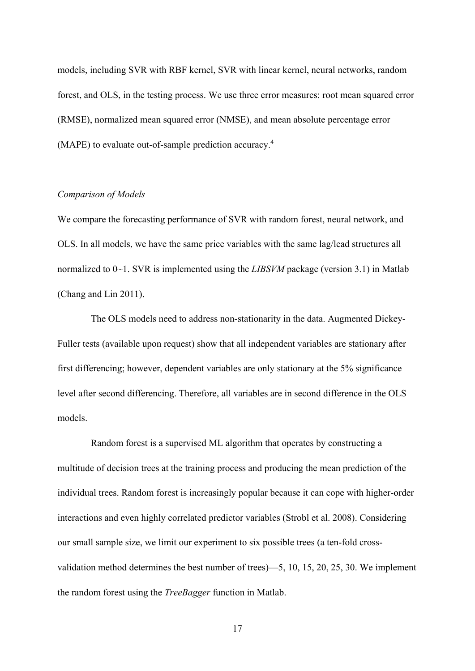models, including SVR with RBF kernel, SVR with linear kernel, neural networks, random forest, and OLS, in the testing process. We use three error measures: root mean squared error (RMSE), normalized mean squared error (NMSE), and mean absolute percentage error (MAPE) to evaluate out-of-sample prediction accuracy. 4

## *Comparison of Models*

We compare the forecasting performance of SVR with random forest, neural network, and OLS. In all models, we have the same price variables with the same lag/lead structures all normalized to 0~1. SVR is implemented using the *LIBSVM* package (version 3.1) in Matlab (Chang and Lin 2011).

The OLS models need to address non-stationarity in the data. Augmented Dickey-Fuller tests (available upon request) show that all independent variables are stationary after first differencing; however, dependent variables are only stationary at the 5% significance level after second differencing. Therefore, all variables are in second difference in the OLS models.

Random forest is a supervised ML algorithm that operates by constructing a multitude of decision trees at the training process and producing the mean prediction of the individual trees. Random forest is increasingly popular because it can cope with higher-order interactions and even highly correlated predictor variables (Strobl et al. 2008). Considering our small sample size, we limit our experiment to six possible trees (a ten-fold crossvalidation method determines the best number of trees)—5, 10, 15, 20, 25, 30. We implement the random forest using the *TreeBagger* function in Matlab.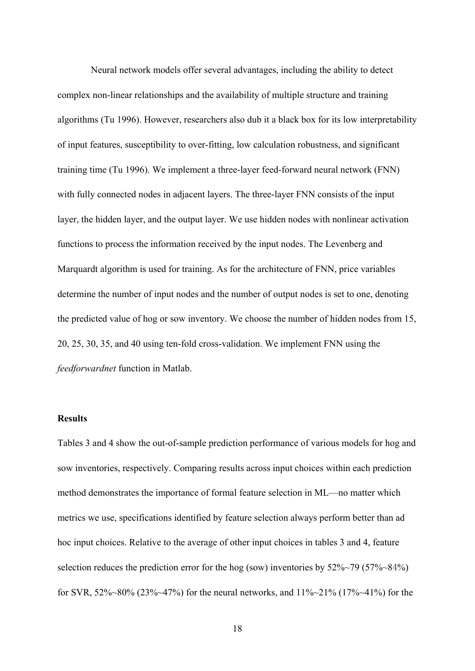Neural network models offer several advantages, including the ability to detect complex non-linear relationships and the availability of multiple structure and training algorithms (Tu 1996). However, researchers also dub it a black box for its low interpretability of input features, susceptibility to over-fitting, low calculation robustness, and significant training time (Tu 1996). We implement a three-layer feed-forward neural network (FNN) with fully connected nodes in adjacent layers. The three-layer FNN consists of the input layer, the hidden layer, and the output layer. We use hidden nodes with nonlinear activation functions to process the information received by the input nodes. The Levenberg and Marquardt algorithm is used for training. As for the architecture of FNN, price variables determine the number of input nodes and the number of output nodes is set to one, denoting the predicted value of hog or sow inventory. We choose the number of hidden nodes from 15, 20, 25, 30, 35, and 40 using ten-fold cross-validation. We implement FNN using the *feedforwardnet* function in Matlab.

#### **Results**

Tables 3 and 4 show the out-of-sample prediction performance of various models for hog and sow inventories, respectively. Comparing results across input choices within each prediction method demonstrates the importance of formal feature selection in ML—no matter which metrics we use, specifications identified by feature selection always perform better than ad hoc input choices. Relative to the average of other input choices in tables 3 and 4, feature selection reduces the prediction error for the hog (sow) inventories by  $52\%~79$  ( $57\%~84\%$ ) for SVR, 52%~80% (23%~47%) for the neural networks, and 11%~21% (17%~41%) for the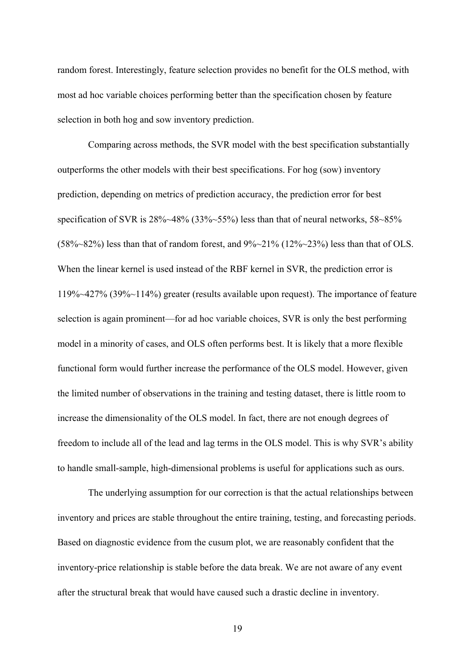random forest. Interestingly, feature selection provides no benefit for the OLS method, with most ad hoc variable choices performing better than the specification chosen by feature selection in both hog and sow inventory prediction.

 Comparing across methods, the SVR model with the best specification substantially outperforms the other models with their best specifications. For hog (sow) inventory prediction, depending on metrics of prediction accuracy, the prediction error for best specification of SVR is 28%~48% (33%~55%) less than that of neural networks, 58~85%  $(58\%~82\%)$  less than that of random forest, and  $9\%~21\%$   $(12\%~23\%)$  less than that of OLS. When the linear kernel is used instead of the RBF kernel in SVR, the prediction error is 119%~427% (39%~114%) greater (results available upon request). The importance of feature selection is again prominent—for ad hoc variable choices, SVR is only the best performing model in a minority of cases, and OLS often performs best. It is likely that a more flexible functional form would further increase the performance of the OLS model. However, given the limited number of observations in the training and testing dataset, there is little room to increase the dimensionality of the OLS model. In fact, there are not enough degrees of freedom to include all of the lead and lag terms in the OLS model. This is why SVR's ability to handle small-sample, high-dimensional problems is useful for applications such as ours.

 The underlying assumption for our correction is that the actual relationships between inventory and prices are stable throughout the entire training, testing, and forecasting periods. Based on diagnostic evidence from the cusum plot, we are reasonably confident that the inventory-price relationship is stable before the data break. We are not aware of any event after the structural break that would have caused such a drastic decline in inventory.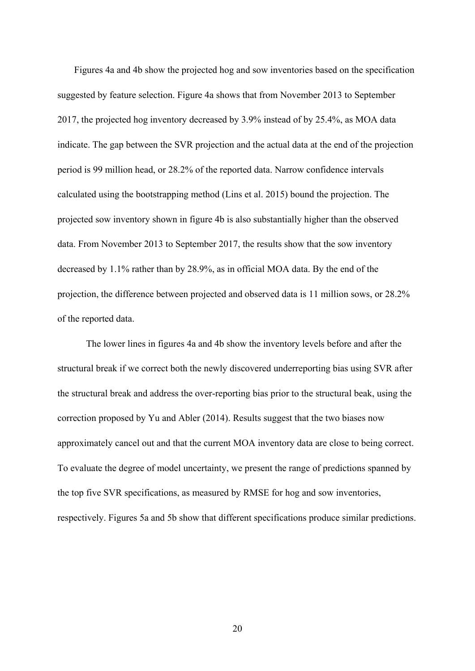Figures 4a and 4b show the projected hog and sow inventories based on the specification suggested by feature selection. Figure 4a shows that from November 2013 to September 2017, the projected hog inventory decreased by 3.9% instead of by 25.4%, as MOA data indicate. The gap between the SVR projection and the actual data at the end of the projection period is 99 million head, or 28.2% of the reported data. Narrow confidence intervals calculated using the bootstrapping method (Lins et al. 2015) bound the projection. The projected sow inventory shown in figure 4b is also substantially higher than the observed data. From November 2013 to September 2017, the results show that the sow inventory decreased by 1.1% rather than by 28.9%, as in official MOA data. By the end of the projection, the difference between projected and observed data is 11 million sows, or 28.2% of the reported data.

 The lower lines in figures 4a and 4b show the inventory levels before and after the structural break if we correct both the newly discovered underreporting bias using SVR after the structural break and address the over-reporting bias prior to the structural beak, using the correction proposed by Yu and Abler (2014). Results suggest that the two biases now approximately cancel out and that the current MOA inventory data are close to being correct. To evaluate the degree of model uncertainty, we present the range of predictions spanned by the top five SVR specifications, as measured by RMSE for hog and sow inventories, respectively. Figures 5a and 5b show that different specifications produce similar predictions.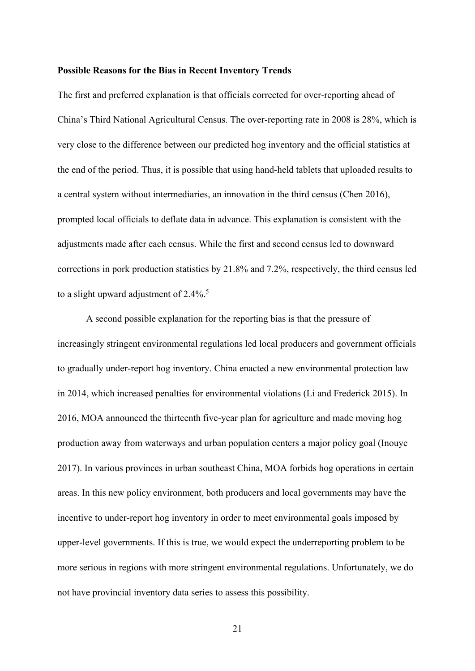#### **Possible Reasons for the Bias in Recent Inventory Trends**

The first and preferred explanation is that officials corrected for over-reporting ahead of China's Third National Agricultural Census. The over-reporting rate in 2008 is 28%, which is very close to the difference between our predicted hog inventory and the official statistics at the end of the period. Thus, it is possible that using hand-held tablets that uploaded results to a central system without intermediaries, an innovation in the third census (Chen 2016), prompted local officials to deflate data in advance. This explanation is consistent with the adjustments made after each census. While the first and second census led to downward corrections in pork production statistics by 21.8% and 7.2%, respectively, the third census led to a slight upward adjustment of  $2.4\%$ <sup>5</sup>

 A second possible explanation for the reporting bias is that the pressure of increasingly stringent environmental regulations led local producers and government officials to gradually under-report hog inventory. China enacted a new environmental protection law in 2014, which increased penalties for environmental violations (Li and Frederick 2015). In 2016, MOA announced the thirteenth five-year plan for agriculture and made moving hog production away from waterways and urban population centers a major policy goal (Inouye 2017). In various provinces in urban southeast China, MOA forbids hog operations in certain areas. In this new policy environment, both producers and local governments may have the incentive to under-report hog inventory in order to meet environmental goals imposed by upper-level governments. If this is true, we would expect the underreporting problem to be more serious in regions with more stringent environmental regulations. Unfortunately, we do not have provincial inventory data series to assess this possibility.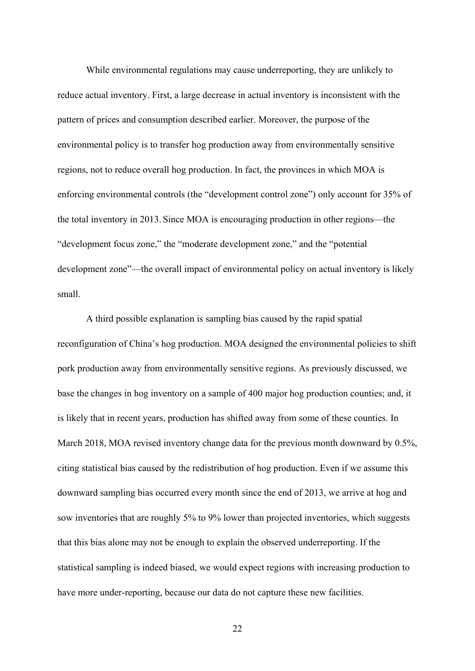While environmental regulations may cause underreporting, they are unlikely to reduce actual inventory. First, a large decrease in actual inventory is inconsistent with the pattern of prices and consumption described earlier. Moreover, the purpose of the environmental policy is to transfer hog production away from environmentally sensitive regions, not to reduce overall hog production. In fact, the provinces in which MOA is enforcing environmental controls (the "development control zone") only account for 35% of the total inventory in 2013. Since MOA is encouraging production in other regions—the "development focus zone," the "moderate development zone," and the "potential development zone"—the overall impact of environmental policy on actual inventory is likely small.

 A third possible explanation is sampling bias caused by the rapid spatial reconfiguration of China's hog production. MOA designed the environmental policies to shift pork production away from environmentally sensitive regions. As previously discussed, we base the changes in hog inventory on a sample of 400 major hog production counties; and, it is likely that in recent years, production has shifted away from some of these counties. In March 2018, MOA revised inventory change data for the previous month downward by 0.5%, citing statistical bias caused by the redistribution of hog production. Even if we assume this downward sampling bias occurred every month since the end of 2013, we arrive at hog and sow inventories that are roughly 5% to 9% lower than projected inventories, which suggests that this bias alone may not be enough to explain the observed underreporting. If the statistical sampling is indeed biased, we would expect regions with increasing production to have more under-reporting, because our data do not capture these new facilities.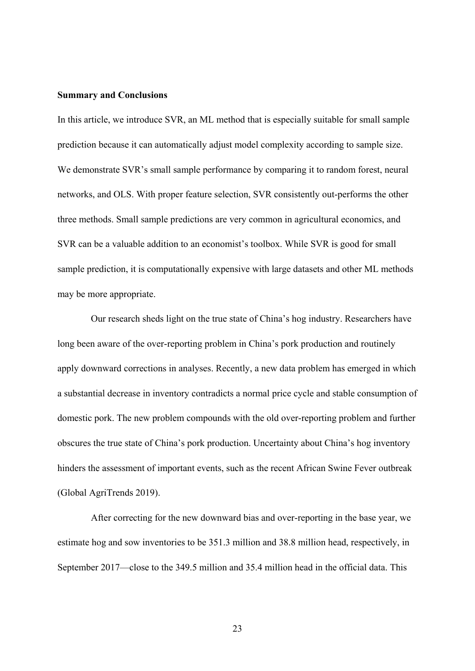#### **Summary and Conclusions**

In this article, we introduce SVR, an ML method that is especially suitable for small sample prediction because it can automatically adjust model complexity according to sample size. We demonstrate SVR's small sample performance by comparing it to random forest, neural networks, and OLS. With proper feature selection, SVR consistently out-performs the other three methods. Small sample predictions are very common in agricultural economics, and SVR can be a valuable addition to an economist's toolbox. While SVR is good for small sample prediction, it is computationally expensive with large datasets and other ML methods may be more appropriate.

Our research sheds light on the true state of China's hog industry. Researchers have long been aware of the over-reporting problem in China's pork production and routinely apply downward corrections in analyses. Recently, a new data problem has emerged in which a substantial decrease in inventory contradicts a normal price cycle and stable consumption of domestic pork. The new problem compounds with the old over-reporting problem and further obscures the true state of China's pork production. Uncertainty about China's hog inventory hinders the assessment of important events, such as the recent African Swine Fever outbreak (Global AgriTrends 2019).

After correcting for the new downward bias and over-reporting in the base year, we estimate hog and sow inventories to be 351.3 million and 38.8 million head, respectively, in September 2017—close to the 349.5 million and 35.4 million head in the official data. This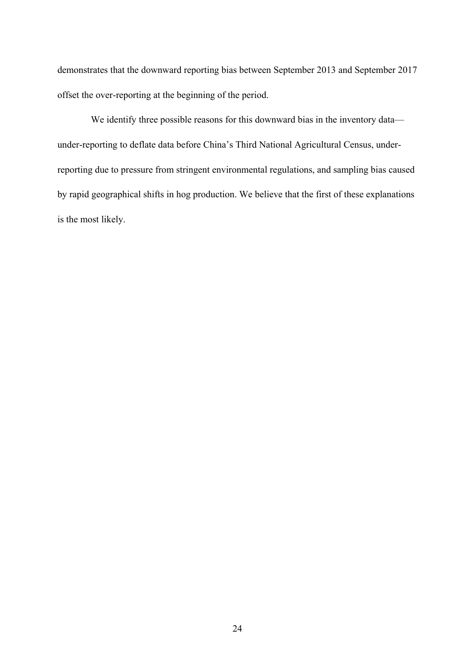demonstrates that the downward reporting bias between September 2013 and September 2017 offset the over-reporting at the beginning of the period.

We identify three possible reasons for this downward bias in the inventory data under-reporting to deflate data before China's Third National Agricultural Census, underreporting due to pressure from stringent environmental regulations, and sampling bias caused by rapid geographical shifts in hog production. We believe that the first of these explanations is the most likely.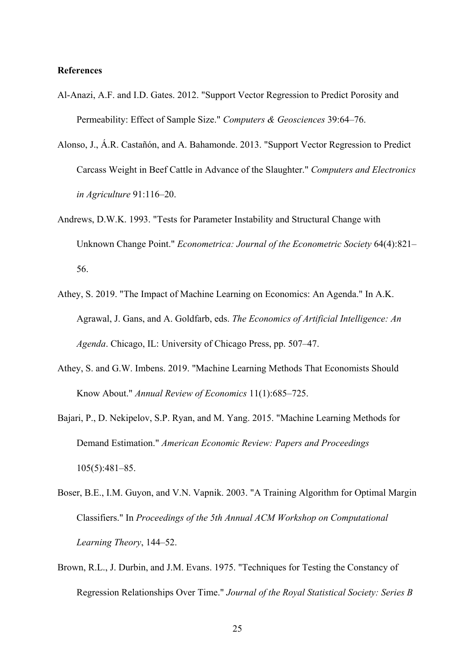# **References**

- Al-Anazi, A.F. and I.D. Gates. 2012. "Support Vector Regression to Predict Porosity and Permeability: Effect of Sample Size." *Computers & Geosciences* 39:64–76.
- Alonso, J., Á.R. Castañón, and A. Bahamonde. 2013. "Support Vector Regression to Predict Carcass Weight in Beef Cattle in Advance of the Slaughter." *Computers and Electronics in Agriculture* 91:116–20.
- Andrews, D.W.K. 1993. "Tests for Parameter Instability and Structural Change with Unknown Change Point." *Econometrica: Journal of the Econometric Society* 64(4):821– 56.
- Athey, S. 2019. "The Impact of Machine Learning on Economics: An Agenda." In A.K. Agrawal, J. Gans, and A. Goldfarb, eds. *The Economics of Artificial Intelligence: An Agenda*. Chicago, IL: University of Chicago Press, pp. 507–47.
- Athey, S. and G.W. Imbens. 2019. "Machine Learning Methods That Economists Should Know About." *Annual Review of Economics* 11(1):685–725.
- Bajari, P., D. Nekipelov, S.P. Ryan, and M. Yang. 2015. "Machine Learning Methods for Demand Estimation." *American Economic Review: Papers and Proceedings* 105(5):481–85.
- Boser, B.E., I.M. Guyon, and V.N. Vapnik. 2003. "A Training Algorithm for Optimal Margin Classifiers." In *Proceedings of the 5th Annual ACM Workshop on Computational Learning Theory*, 144–52.
- Brown, R.L., J. Durbin, and J.M. Evans. 1975. "Techniques for Testing the Constancy of Regression Relationships Over Time." *Journal of the Royal Statistical Society: Series B*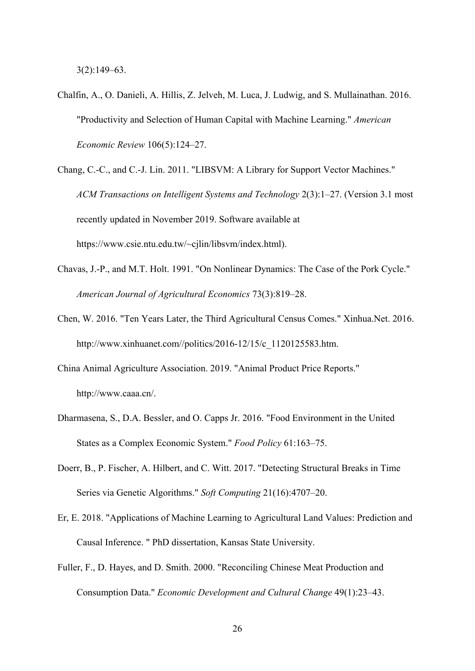3(2):149–63.

- Chalfin, A., O. Danieli, A. Hillis, Z. Jelveh, M. Luca, J. Ludwig, and S. Mullainathan. 2016. "Productivity and Selection of Human Capital with Machine Learning." *American Economic Review* 106(5):124–27.
- Chang, C.-C., and C.-J. Lin. 2011. "LIBSVM: A Library for Support Vector Machines." *ACM Transactions on Intelligent Systems and Technology* 2(3):1–27. (Version 3.1 most recently updated in November 2019. Software available at https://www.csie.ntu.edu.tw/~cjlin/libsvm/index.html).
- Chavas, J.-P., and M.T. Holt. 1991. "On Nonlinear Dynamics: The Case of the Pork Cycle." *American Journal of Agricultural Economics* 73(3):819–28.
- Chen, W. 2016. "Ten Years Later, the Third Agricultural Census Comes." Xinhua.Net. 2016. http://www.xinhuanet.com//politics/2016-12/15/c\_1120125583.htm.
- China Animal Agriculture Association. 2019. "Animal Product Price Reports." http://www.caaa.cn/.
- Dharmasena, S., D.A. Bessler, and O. Capps Jr. 2016. "Food Environment in the United States as a Complex Economic System." *Food Policy* 61:163–75.
- Doerr, B., P. Fischer, A. Hilbert, and C. Witt. 2017. "Detecting Structural Breaks in Time Series via Genetic Algorithms." *Soft Computing* 21(16):4707–20.
- Er, E. 2018. "Applications of Machine Learning to Agricultural Land Values: Prediction and Causal Inference. " PhD dissertation, Kansas State University.
- Fuller, F., D. Hayes, and D. Smith. 2000. "Reconciling Chinese Meat Production and Consumption Data." *Economic Development and Cultural Change* 49(1):23–43.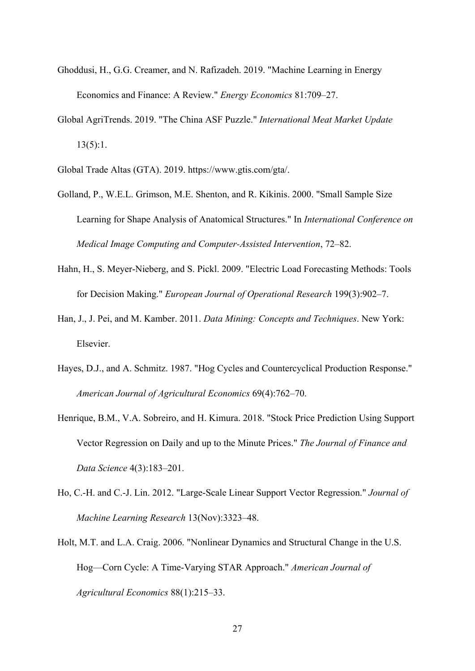- Ghoddusi, H., G.G. Creamer, and N. Rafizadeh. 2019. "Machine Learning in Energy Economics and Finance: A Review." *Energy Economics* 81:709–27.
- Global AgriTrends. 2019. "The China ASF Puzzle." *International Meat Market Update*  $13(5):1.$

Global Trade Altas (GTA). 2019. https://www.gtis.com/gta/.

- Golland, P., W.E.L. Grimson, M.E. Shenton, and R. Kikinis. 2000. "Small Sample Size Learning for Shape Analysis of Anatomical Structures." In *International Conference on Medical Image Computing and Computer-Assisted Intervention*, 72–82.
- Hahn, H., S. Meyer-Nieberg, and S. Pickl. 2009. "Electric Load Forecasting Methods: Tools for Decision Making." *European Journal of Operational Research* 199(3):902–7.
- Han, J., J. Pei, and M. Kamber. 2011. *Data Mining: Concepts and Techniques*. New York: Elsevier.
- Hayes, D.J., and A. Schmitz. 1987. "Hog Cycles and Countercyclical Production Response." *American Journal of Agricultural Economics* 69(4):762–70.
- Henrique, B.M., V.A. Sobreiro, and H. Kimura. 2018. "Stock Price Prediction Using Support Vector Regression on Daily and up to the Minute Prices." *The Journal of Finance and Data Science* 4(3):183–201.
- Ho, C.-H. and C.-J. Lin. 2012. "Large-Scale Linear Support Vector Regression." *Journal of Machine Learning Research* 13(Nov):3323–48.
- Holt, M.T. and L.A. Craig. 2006. "Nonlinear Dynamics and Structural Change in the U.S. Hog—Corn Cycle: A Time-Varying STAR Approach." *American Journal of Agricultural Economics* 88(1):215–33.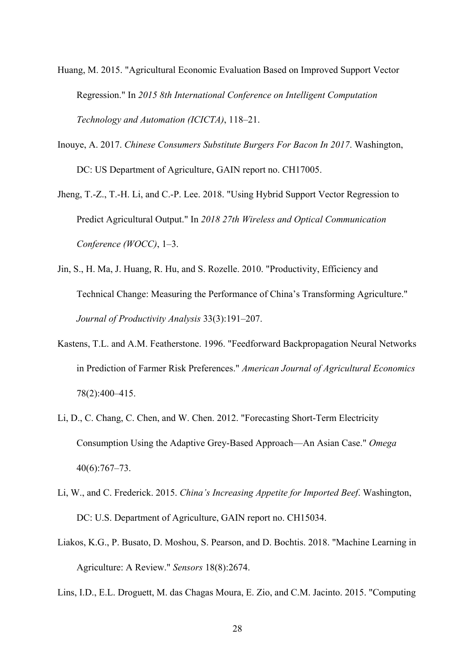- Huang, M. 2015. "Agricultural Economic Evaluation Based on Improved Support Vector Regression." In *2015 8th International Conference on Intelligent Computation Technology and Automation (ICICTA)*, 118–21.
- Inouye, A. 2017. *Chinese Consumers Substitute Burgers For Bacon In 2017*. Washington, DC: US Department of Agriculture, GAIN report no. CH17005.
- Jheng, T.-Z., T.-H. Li, and C.-P. Lee. 2018. "Using Hybrid Support Vector Regression to Predict Agricultural Output." In *2018 27th Wireless and Optical Communication Conference (WOCC)*, 1–3.
- Jin, S., H. Ma, J. Huang, R. Hu, and S. Rozelle. 2010. "Productivity, Efficiency and Technical Change: Measuring the Performance of China's Transforming Agriculture." *Journal of Productivity Analysis* 33(3):191–207.
- Kastens, T.L. and A.M. Featherstone. 1996. "Feedforward Backpropagation Neural Networks in Prediction of Farmer Risk Preferences." *American Journal of Agricultural Economics* 78(2):400–415.
- Li, D., C. Chang, C. Chen, and W. Chen. 2012. "Forecasting Short-Term Electricity Consumption Using the Adaptive Grey-Based Approach—An Asian Case." *Omega* 40(6):767–73.
- Li, W., and C. Frederick. 2015. *China's Increasing Appetite for Imported Beef*. Washington, DC: U.S. Department of Agriculture, GAIN report no. CH15034.
- Liakos, K.G., P. Busato, D. Moshou, S. Pearson, and D. Bochtis. 2018. "Machine Learning in Agriculture: A Review." *Sensors* 18(8):2674.
- Lins, I.D., E.L. Droguett, M. das Chagas Moura, E. Zio, and C.M. Jacinto. 2015. "Computing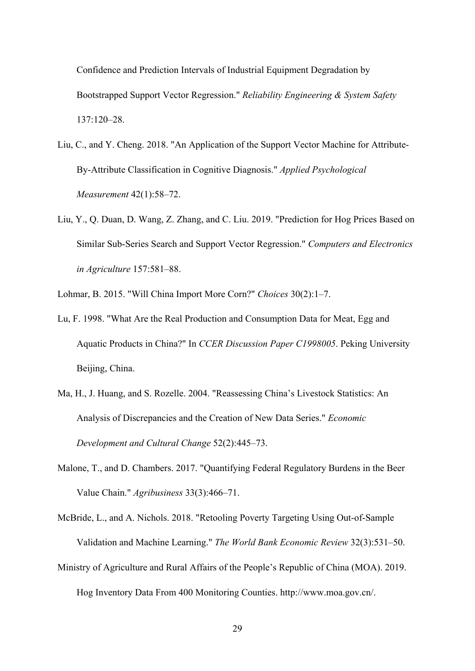Confidence and Prediction Intervals of Industrial Equipment Degradation by Bootstrapped Support Vector Regression." *Reliability Engineering & System Safety* 137:120–28.

- Liu, C., and Y. Cheng. 2018. "An Application of the Support Vector Machine for Attribute-By-Attribute Classification in Cognitive Diagnosis." *Applied Psychological Measurement* 42(1):58–72.
- Liu, Y., Q. Duan, D. Wang, Z. Zhang, and C. Liu. 2019. "Prediction for Hog Prices Based on Similar Sub-Series Search and Support Vector Regression." *Computers and Electronics in Agriculture* 157:581–88.

Lohmar, B. 2015. "Will China Import More Corn?" *Choices* 30(2):1–7.

- Lu, F. 1998. "What Are the Real Production and Consumption Data for Meat, Egg and Aquatic Products in China?" In *CCER Discussion Paper C1998005*. Peking University Beijing, China.
- Ma, H., J. Huang, and S. Rozelle. 2004. "Reassessing China's Livestock Statistics: An Analysis of Discrepancies and the Creation of New Data Series." *Economic Development and Cultural Change* 52(2):445–73.
- Malone, T., and D. Chambers. 2017. "Quantifying Federal Regulatory Burdens in the Beer Value Chain." *Agribusiness* 33(3):466–71.

McBride, L., and A. Nichols. 2018. "Retooling Poverty Targeting Using Out-of-Sample Validation and Machine Learning." *The World Bank Economic Review* 32(3):531–50.

Ministry of Agriculture and Rural Affairs of the People's Republic of China (MOA). 2019.

Hog Inventory Data From 400 Monitoring Counties. http://www.moa.gov.cn/.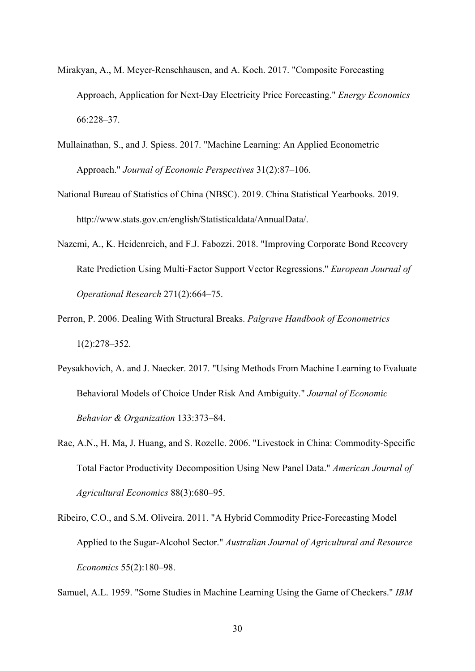- Mirakyan, A., M. Meyer-Renschhausen, and A. Koch. 2017. "Composite Forecasting Approach, Application for Next-Day Electricity Price Forecasting." *Energy Economics* 66:228–37.
- Mullainathan, S., and J. Spiess. 2017. "Machine Learning: An Applied Econometric Approach." *Journal of Economic Perspectives* 31(2):87–106.
- National Bureau of Statistics of China (NBSC). 2019. China Statistical Yearbooks. 2019. http://www.stats.gov.cn/english/Statisticaldata/AnnualData/.
- Nazemi, A., K. Heidenreich, and F.J. Fabozzi. 2018. "Improving Corporate Bond Recovery Rate Prediction Using Multi-Factor Support Vector Regressions." *European Journal of Operational Research* 271(2):664–75.
- Perron, P. 2006. Dealing With Structural Breaks. *Palgrave Handbook of Econometrics* 1(2):278–352.
- Peysakhovich, A. and J. Naecker. 2017. "Using Methods From Machine Learning to Evaluate Behavioral Models of Choice Under Risk And Ambiguity." *Journal of Economic Behavior & Organization* 133:373–84.
- Rae, A.N., H. Ma, J. Huang, and S. Rozelle. 2006. "Livestock in China: Commodity-Specific Total Factor Productivity Decomposition Using New Panel Data." *American Journal of Agricultural Economics* 88(3):680–95.
- Ribeiro, C.O., and S.M. Oliveira. 2011. "A Hybrid Commodity Price-Forecasting Model Applied to the Sugar-Alcohol Sector." *Australian Journal of Agricultural and Resource Economics* 55(2):180–98.

Samuel, A.L. 1959. "Some Studies in Machine Learning Using the Game of Checkers." *IBM*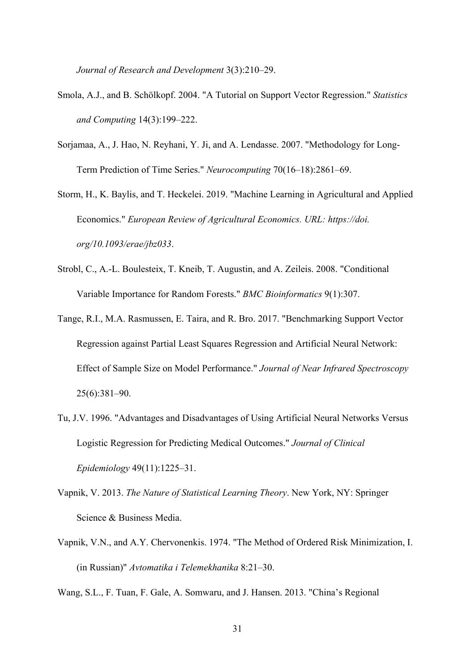*Journal of Research and Development* 3(3):210–29.

- Smola, A.J., and B. Schölkopf. 2004. "A Tutorial on Support Vector Regression." *Statistics and Computing* 14(3):199–222.
- Sorjamaa, A., J. Hao, N. Reyhani, Y. Ji, and A. Lendasse. 2007. "Methodology for Long-Term Prediction of Time Series." *Neurocomputing* 70(16–18):2861–69.
- Storm, H., K. Baylis, and T. Heckelei. 2019. "Machine Learning in Agricultural and Applied Economics." *European Review of Agricultural Economics. URL: https://doi. org/10.1093/erae/jbz033*.
- Strobl, C., A.-L. Boulesteix, T. Kneib, T. Augustin, and A. Zeileis. 2008. "Conditional Variable Importance for Random Forests." *BMC Bioinformatics* 9(1):307.
- Tange, R.I., M.A. Rasmussen, E. Taira, and R. Bro. 2017. "Benchmarking Support Vector Regression against Partial Least Squares Regression and Artificial Neural Network: Effect of Sample Size on Model Performance." *Journal of Near Infrared Spectroscopy* 25(6):381–90.
- Tu, J.V. 1996. "Advantages and Disadvantages of Using Artificial Neural Networks Versus Logistic Regression for Predicting Medical Outcomes." *Journal of Clinical Epidemiology* 49(11):1225–31.
- Vapnik, V. 2013. *The Nature of Statistical Learning Theory*. New York, NY: Springer Science & Business Media.
- Vapnik, V.N., and A.Y. Chervonenkis. 1974. "The Method of Ordered Risk Minimization, I. (in Russian)" *Avtomatika i Telemekhanika* 8:21–30.
- Wang, S.L., F. Tuan, F. Gale, A. Somwaru, and J. Hansen. 2013. "China's Regional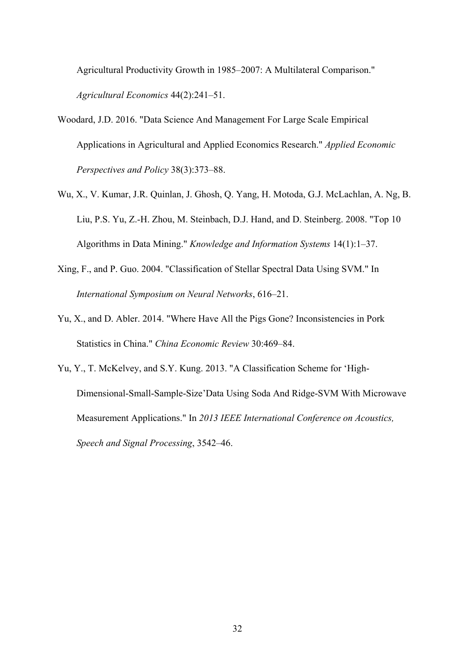Agricultural Productivity Growth in 1985–2007: A Multilateral Comparison." *Agricultural Economics* 44(2):241–51.

- Woodard, J.D. 2016. "Data Science And Management For Large Scale Empirical Applications in Agricultural and Applied Economics Research." *Applied Economic Perspectives and Policy* 38(3):373–88.
- Wu, X., V. Kumar, J.R. Quinlan, J. Ghosh, Q. Yang, H. Motoda, G.J. McLachlan, A. Ng, B. Liu, P.S. Yu, Z.-H. Zhou, M. Steinbach, D.J. Hand, and D. Steinberg. 2008. "Top 10 Algorithms in Data Mining." *Knowledge and Information Systems* 14(1):1–37.
- Xing, F., and P. Guo. 2004. "Classification of Stellar Spectral Data Using SVM." In *International Symposium on Neural Networks*, 616–21.
- Yu, X., and D. Abler. 2014. "Where Have All the Pigs Gone? Inconsistencies in Pork Statistics in China." *China Economic Review* 30:469–84.
- Yu, Y., T. McKelvey, and S.Y. Kung. 2013. "A Classification Scheme for 'High-Dimensional-Small-Sample-Size'Data Using Soda And Ridge-SVM With Microwave Measurement Applications." In *2013 IEEE International Conference on Acoustics, Speech and Signal Processing*, 3542–46.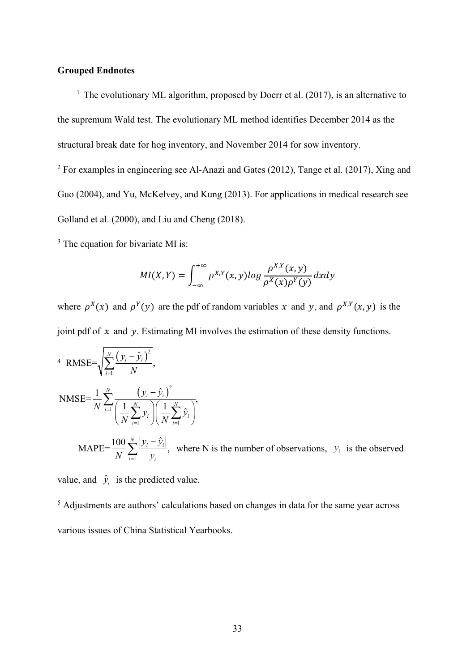# **Grouped Endnotes**

<sup>1</sup> The evolutionary ML algorithm, proposed by Doerr et al.  $(2017)$ , is an alternative to the supremum Wald test. The evolutionary ML method identifies December 2014 as the structural break date for hog inventory, and November 2014 for sow inventory.

 $2$  For examples in engineering see Al-Anazi and Gates (2012), Tange et al. (2017), Xing and Guo (2004), and Yu, McKelvey, and Kung (2013). For applications in medical research see Golland et al. (2000), and Liu and Cheng (2018).

<sup>3</sup> The equation for bivariate MI is:

$$
MI(X,Y) = \int_{-\infty}^{+\infty} \rho^{X,Y}(x,y) \log \frac{\rho^{X,Y}(x,y)}{\rho^X(x)\rho^Y(y)} dxdy
$$

where  $\rho^{X}(x)$  and  $\rho^{Y}(y)$  are the pdf of random variables x and y, and  $\rho^{X,Y}(x, y)$  is the joint pdf of  $x$  and  $y$ . Estimating MI involves the estimation of these density functions.

4 RMSE=
$$
\sqrt{\sum_{i=1}^{N} \frac{(y_i - \hat{y}_i)^2}{N}}
$$
,  
\nNMSE= $\frac{1}{N} \sum_{i=1}^{N} \frac{(y_i - \hat{y}_i)^2}{\left(\frac{1}{N} \sum_{i=1}^{N} y_i\right)\left(\frac{1}{N} \sum_{i=1}^{N} \hat{y}_i\right)}$ ,  
\nMAPE= $\frac{100}{N} \sum_{i=1}^{N} \frac{|y_i - \hat{y}_i|}{y_i}$ , where N is the number of observations,  $y_i$  is the observed

value, and  $\hat{y}_i$  is the predicted value.

<sup>5</sup> Adjustments are authors' calculations based on changes in data for the same year across various issues of China Statistical Yearbooks.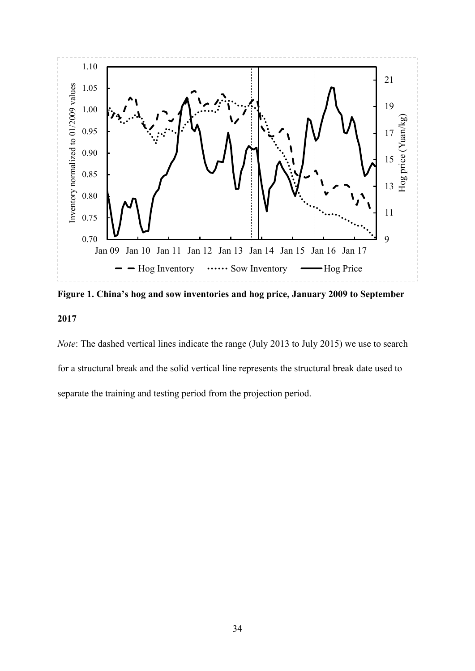

**Figure 1. China's hog and sow inventories and hog price, January 2009 to September 2017**

*Note*: The dashed vertical lines indicate the range (July 2013 to July 2015) we use to search for a structural break and the solid vertical line represents the structural break date used to separate the training and testing period from the projection period.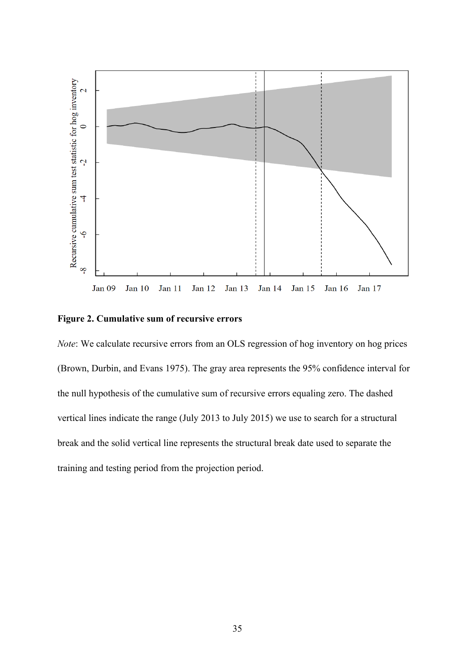

# **Figure 2. Cumulative sum of recursive errors**

*Note*: We calculate recursive errors from an OLS regression of hog inventory on hog prices (Brown, Durbin, and Evans 1975). The gray area represents the 95% confidence interval for the null hypothesis of the cumulative sum of recursive errors equaling zero. The dashed vertical lines indicate the range (July 2013 to July 2015) we use to search for a structural break and the solid vertical line represents the structural break date used to separate the training and testing period from the projection period.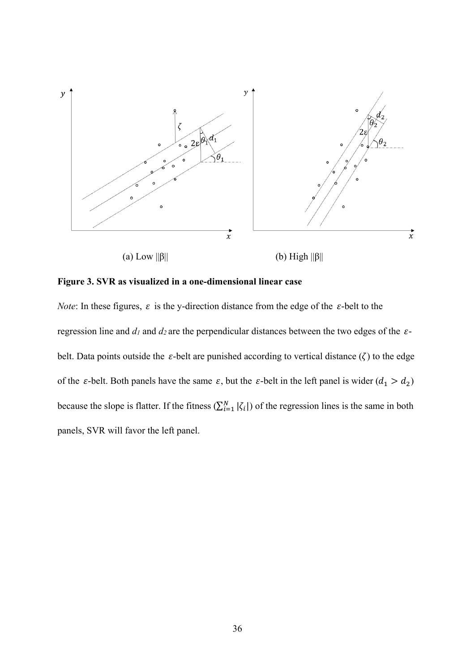

**Figure 3. SVR as visualized in a one-dimensional linear case** 

*Note*: In these figures,  $\varepsilon$  is the y-direction distance from the edge of the  $\varepsilon$ -belt to the regression line and  $d_1$  and  $d_2$  are the perpendicular distances between the two edges of the  $\varepsilon$ belt. Data points outside the  $\varepsilon$ -belt are punished according to vertical distance ( $\zeta$ ) to the edge of the  $\varepsilon$ -belt. Both panels have the same  $\varepsilon$ , but the  $\varepsilon$ -belt in the left panel is wider  $(d_1 > d_2)$ because the slope is flatter. If the fitness  $(\sum_{i=1}^{N} |\zeta_i|)$  of the regression lines is the same in both panels, SVR will favor the left panel.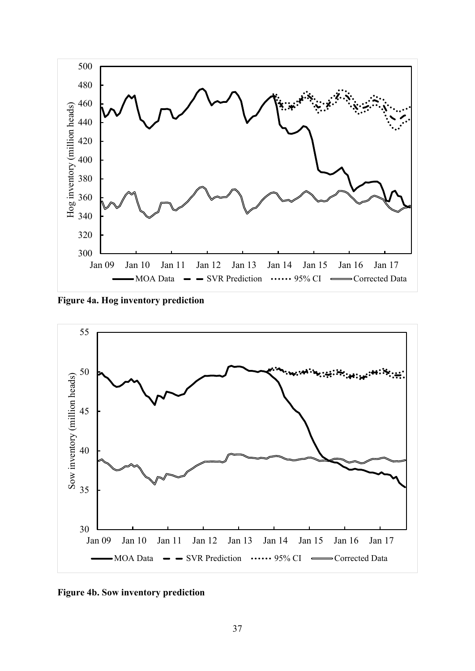

**Figure 4a. Hog inventory prediction**



**Figure 4b. Sow inventory prediction**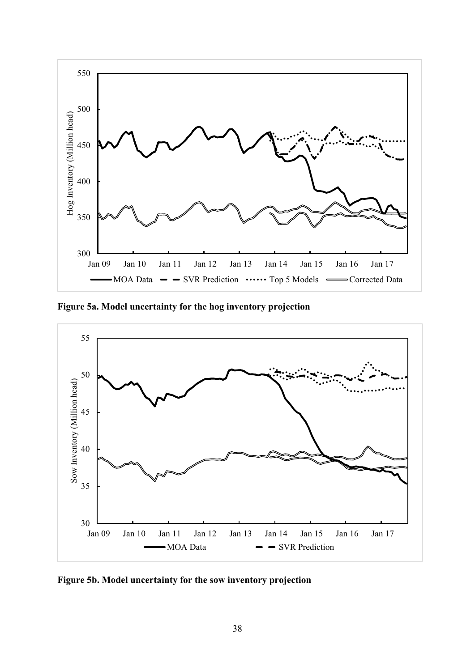

**Figure 5a. Model uncertainty for the hog inventory projection**



**Figure 5b. Model uncertainty for the sow inventory projection**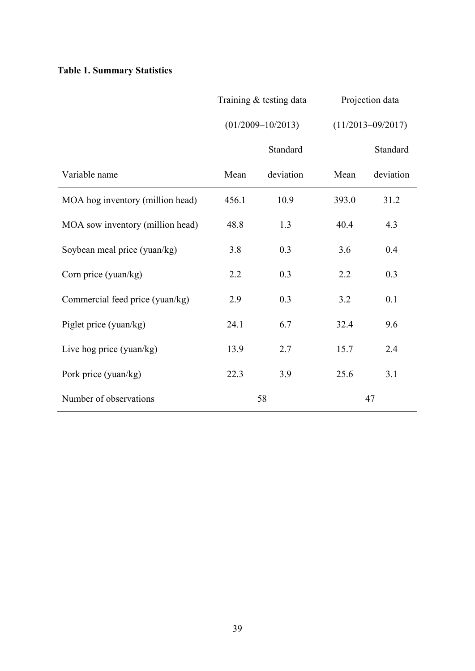|  |  | <b>Table 1. Summary Statistics</b> |  |
|--|--|------------------------------------|--|
|--|--|------------------------------------|--|

|                                  |       | Training & testing data |       | Projection data       |  |  |
|----------------------------------|-------|-------------------------|-------|-----------------------|--|--|
|                                  |       | $(01/2009 - 10/2013)$   |       | $(11/2013 - 09/2017)$ |  |  |
|                                  |       | Standard                |       | Standard              |  |  |
| Variable name                    | Mean  | deviation               | Mean  | deviation             |  |  |
| MOA hog inventory (million head) | 456.1 | 10.9                    | 393.0 | 31.2                  |  |  |
| MOA sow inventory (million head) | 48.8  | 1.3                     | 40.4  | 4.3                   |  |  |
| Soybean meal price (yuan/kg)     | 3.8   | 0.3                     | 3.6   | 0.4                   |  |  |
| Corn price (yuan/kg)             | 2.2   | 0.3                     | 2.2   | 0.3                   |  |  |
| Commercial feed price (yuan/kg)  | 2.9   | 0.3                     | 3.2   | 0.1                   |  |  |
| Piglet price (yuan/kg)           | 24.1  | 6.7                     | 32.4  | 9.6                   |  |  |
| Live hog price (yuan/kg)         | 13.9  | 2.7                     | 15.7  | 2.4                   |  |  |
| Pork price (yuan/kg)             | 22.3  | 3.9                     | 25.6  | 3.1                   |  |  |
| Number of observations           |       | 58                      | 47    |                       |  |  |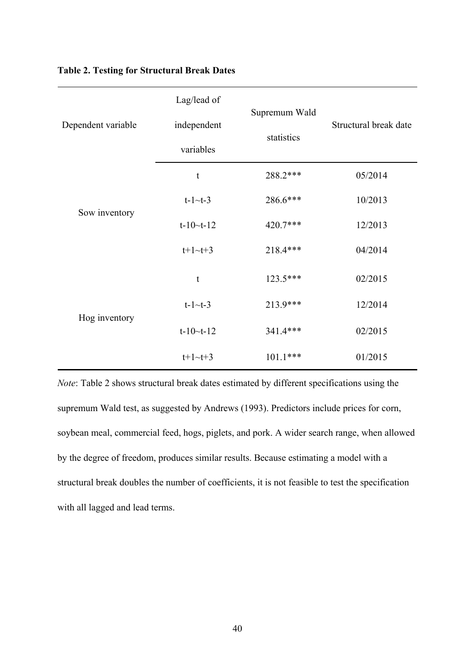|                    | Lag/lead of     |               |                       |  |
|--------------------|-----------------|---------------|-----------------------|--|
| Dependent variable | independent     | Supremum Wald | Structural break date |  |
|                    | variables       | statistics    |                       |  |
|                    | $\mathfrak{t}$  | 288.2 ***     | 05/2014               |  |
|                    | $t-1$ ~ $t-3$   | 286.6***      | 10/2013               |  |
| Sow inventory      | $t-10-t-12$     | 420.7***      | 12/2013               |  |
|                    | $t+1 \sim t+3$  | 218.4***      | 04/2014               |  |
|                    | t               | 123.5***      | 02/2015               |  |
|                    | $t-1$ ~ $t-3$   | 213.9***      | 12/2014               |  |
| Hog inventory      | $t-10$ ~ $t-12$ | 341.4***      | 02/2015               |  |
|                    | $t+1 \sim t+3$  | $101.1***$    | 01/2015               |  |

# **Table 2. Testing for Structural Break Dates**

*Note*: Table 2 shows structural break dates estimated by different specifications using the supremum Wald test, as suggested by Andrews (1993). Predictors include prices for corn, soybean meal, commercial feed, hogs, piglets, and pork. A wider search range, when allowed by the degree of freedom, produces similar results. Because estimating a model with a structural break doubles the number of coefficients, it is not feasible to test the specification with all lagged and lead terms.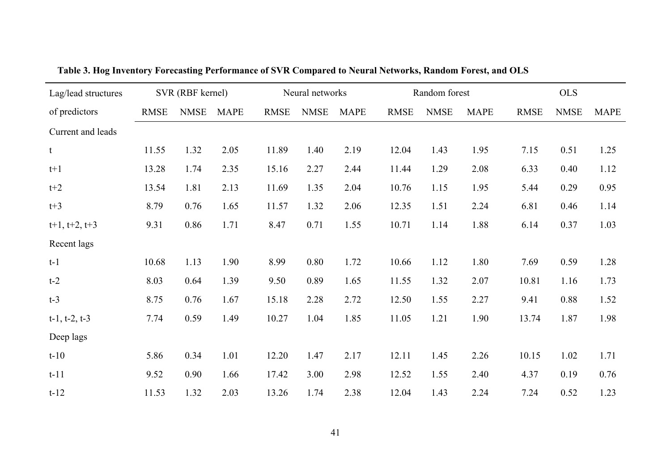| Lag/lead structures   | SVR (RBF kernel) |             |             | Neural networks |             |             | Random forest |             |             | <b>OLS</b>  |             |             |
|-----------------------|------------------|-------------|-------------|-----------------|-------------|-------------|---------------|-------------|-------------|-------------|-------------|-------------|
| of predictors         | <b>RMSE</b>      | <b>NMSE</b> | <b>MAPE</b> | <b>RMSE</b>     | <b>NMSE</b> | <b>MAPE</b> | <b>RMSE</b>   | <b>NMSE</b> | <b>MAPE</b> | <b>RMSE</b> | <b>NMSE</b> | <b>MAPE</b> |
| Current and leads     |                  |             |             |                 |             |             |               |             |             |             |             |             |
| t                     | 11.55            | 1.32        | 2.05        | 11.89           | 1.40        | 2.19        | 12.04         | 1.43        | 1.95        | 7.15        | 0.51        | 1.25        |
| $t+1$                 | 13.28            | 1.74        | 2.35        | 15.16           | 2.27        | 2.44        | 11.44         | 1.29        | 2.08        | 6.33        | 0.40        | 1.12        |
| $t+2$                 | 13.54            | 1.81        | 2.13        | 11.69           | 1.35        | 2.04        | 10.76         | 1.15        | 1.95        | 5.44        | 0.29        | 0.95        |
| $t+3$                 | 8.79             | 0.76        | 1.65        | 11.57           | 1.32        | 2.06        | 12.35         | 1.51        | 2.24        | 6.81        | 0.46        | 1.14        |
| $t+1$ , $t+2$ , $t+3$ | 9.31             | 0.86        | 1.71        | 8.47            | 0.71        | 1.55        | 10.71         | 1.14        | 1.88        | 6.14        | 0.37        | 1.03        |
| Recent lags           |                  |             |             |                 |             |             |               |             |             |             |             |             |
| $t-1$                 | 10.68            | 1.13        | 1.90        | 8.99            | 0.80        | 1.72        | 10.66         | 1.12        | 1.80        | 7.69        | 0.59        | 1.28        |
| $t-2$                 | 8.03             | 0.64        | 1.39        | 9.50            | 0.89        | 1.65        | 11.55         | 1.32        | 2.07        | 10.81       | 1.16        | 1.73        |
| $t-3$                 | 8.75             | 0.76        | 1.67        | 15.18           | 2.28        | 2.72        | 12.50         | 1.55        | 2.27        | 9.41        | 0.88        | 1.52        |
| $t-1$ , $t-2$ , $t-3$ | 7.74             | 0.59        | 1.49        | 10.27           | 1.04        | 1.85        | 11.05         | 1.21        | 1.90        | 13.74       | 1.87        | 1.98        |
| Deep lags             |                  |             |             |                 |             |             |               |             |             |             |             |             |
| $t-10$                | 5.86             | 0.34        | 1.01        | 12.20           | 1.47        | 2.17        | 12.11         | 1.45        | 2.26        | 10.15       | 1.02        | 1.71        |
| $t-11$                | 9.52             | 0.90        | 1.66        | 17.42           | 3.00        | 2.98        | 12.52         | 1.55        | 2.40        | 4.37        | 0.19        | 0.76        |
| $t-12$                | 11.53            | 1.32        | 2.03        | 13.26           | 1.74        | 2.38        | 12.04         | 1.43        | 2.24        | 7.24        | 0.52        | 1.23        |

**Table 3. Hog Inventory Forecasting Performance of SVR Compared to Neural Networks, Random Forest, and OLS**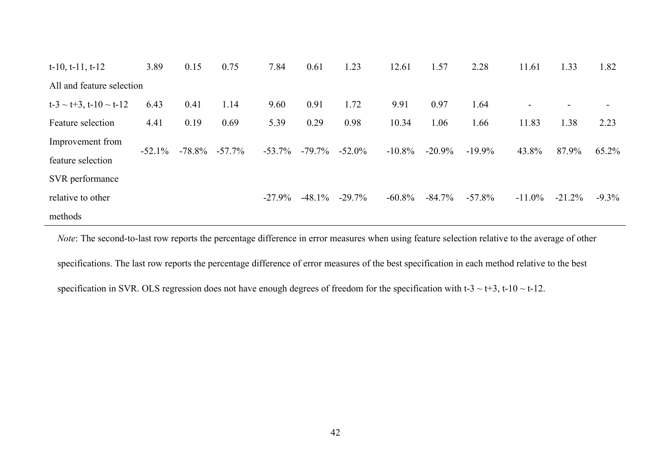| $t-10$ , $t-11$ , $t-12$          | 3.89     | 0.15      | 0.75      | 7.84      | 0.61      | 1.23      | 12.61     | 1.57      | 2.28      | 11.61                    | 1.33                     | 1.82     |
|-----------------------------------|----------|-----------|-----------|-----------|-----------|-----------|-----------|-----------|-----------|--------------------------|--------------------------|----------|
| All and feature selection         |          |           |           |           |           |           |           |           |           |                          |                          |          |
| $t-3 \sim t+3$ , $t-10 \sim t-12$ | 6.43     | 0.41      | 1.14      | 9.60      | 0.91      | 1.72      | 9.91      | 0.97      | 1.64      | $\overline{\phantom{a}}$ | $\overline{\phantom{0}}$ |          |
| Feature selection                 | 4.41     | 0.19      | 0.69      | 5.39      | 0.29      | 0.98      | 10.34     | 1.06      | 1.66      | 11.83                    | 1.38                     | 2.23     |
| Improvement from                  |          | $-78.8\%$ | $-57.7\%$ | $-53.7\%$ | $-79.7\%$ | $-52.0\%$ | $-10.8\%$ | $-20.9%$  | $-19.9%$  | 43.8%                    | 87.9%                    | 65.2%    |
| feature selection                 | $-52.1%$ |           |           |           |           |           |           |           |           |                          |                          |          |
| SVR performance                   |          |           |           |           |           |           |           |           |           |                          |                          |          |
| relative to other                 |          |           |           | $-27.9%$  | $-48.1\%$ | $-29.7%$  | $-60.8\%$ | $-84.7\%$ | $-57.8\%$ | $-11.0\%$                | $-21.2%$                 | $-9.3\%$ |
| methods                           |          |           |           |           |           |           |           |           |           |                          |                          |          |

*Note*: The second-to-last row reports the percentage difference in error measures when using feature selection relative to the average of other specifications. The last row reports the percentage difference of error measures of the best specification in each method relative to the best specification in SVR. OLS regression does not have enough degrees of freedom for the specification with t- $3 \sim t+3$ , t- $10 \sim t-12$ .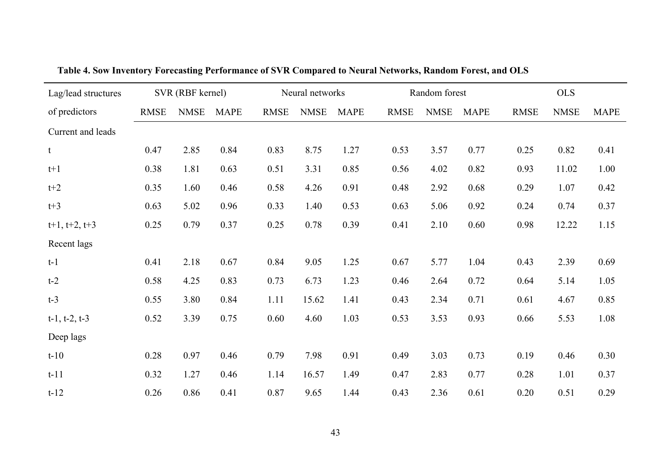| Lag/lead structures   | SVR (RBF kernel) |             |             | Neural networks |             |             | Random forest |             |             | <b>OLS</b>  |             |             |
|-----------------------|------------------|-------------|-------------|-----------------|-------------|-------------|---------------|-------------|-------------|-------------|-------------|-------------|
| of predictors         | <b>RMSE</b>      | <b>NMSE</b> | <b>MAPE</b> | <b>RMSE</b>     | <b>NMSE</b> | <b>MAPE</b> | <b>RMSE</b>   | <b>NMSE</b> | <b>MAPE</b> | <b>RMSE</b> | <b>NMSE</b> | <b>MAPE</b> |
| Current and leads     |                  |             |             |                 |             |             |               |             |             |             |             |             |
| t                     | 0.47             | 2.85        | 0.84        | 0.83            | 8.75        | 1.27        | 0.53          | 3.57        | 0.77        | 0.25        | 0.82        | 0.41        |
| $t+1$                 | 0.38             | 1.81        | 0.63        | 0.51            | 3.31        | 0.85        | 0.56          | 4.02        | 0.82        | 0.93        | 11.02       | 1.00        |
| $t+2$                 | 0.35             | 1.60        | 0.46        | 0.58            | 4.26        | 0.91        | 0.48          | 2.92        | 0.68        | 0.29        | 1.07        | 0.42        |
| $t+3$                 | 0.63             | 5.02        | 0.96        | 0.33            | 1.40        | 0.53        | 0.63          | 5.06        | 0.92        | 0.24        | 0.74        | 0.37        |
| $t+1$ , $t+2$ , $t+3$ | 0.25             | 0.79        | 0.37        | 0.25            | 0.78        | 0.39        | 0.41          | 2.10        | 0.60        | 0.98        | 12.22       | 1.15        |
| Recent lags           |                  |             |             |                 |             |             |               |             |             |             |             |             |
| $t-1$                 | 0.41             | 2.18        | 0.67        | 0.84            | 9.05        | 1.25        | 0.67          | 5.77        | 1.04        | 0.43        | 2.39        | 0.69        |
| $t-2$                 | 0.58             | 4.25        | 0.83        | 0.73            | 6.73        | 1.23        | 0.46          | 2.64        | 0.72        | 0.64        | 5.14        | 1.05        |
| $t-3$                 | 0.55             | 3.80        | 0.84        | 1.11            | 15.62       | 1.41        | 0.43          | 2.34        | 0.71        | 0.61        | 4.67        | 0.85        |
| $t-1$ , $t-2$ , $t-3$ | 0.52             | 3.39        | 0.75        | 0.60            | 4.60        | 1.03        | 0.53          | 3.53        | 0.93        | 0.66        | 5.53        | 1.08        |
| Deep lags             |                  |             |             |                 |             |             |               |             |             |             |             |             |
| $t-10$                | 0.28             | 0.97        | 0.46        | 0.79            | 7.98        | 0.91        | 0.49          | 3.03        | 0.73        | 0.19        | 0.46        | 0.30        |
| $t-11$                | 0.32             | 1.27        | 0.46        | 1.14            | 16.57       | 1.49        | 0.47          | 2.83        | 0.77        | 0.28        | 1.01        | 0.37        |
| $t-12$                | 0.26             | 0.86        | 0.41        | 0.87            | 9.65        | 1.44        | 0.43          | 2.36        | 0.61        | 0.20        | 0.51        | 0.29        |

**Table 4. Sow Inventory Forecasting Performance of SVR Compared to Neural Networks, Random Forest, and OLS**